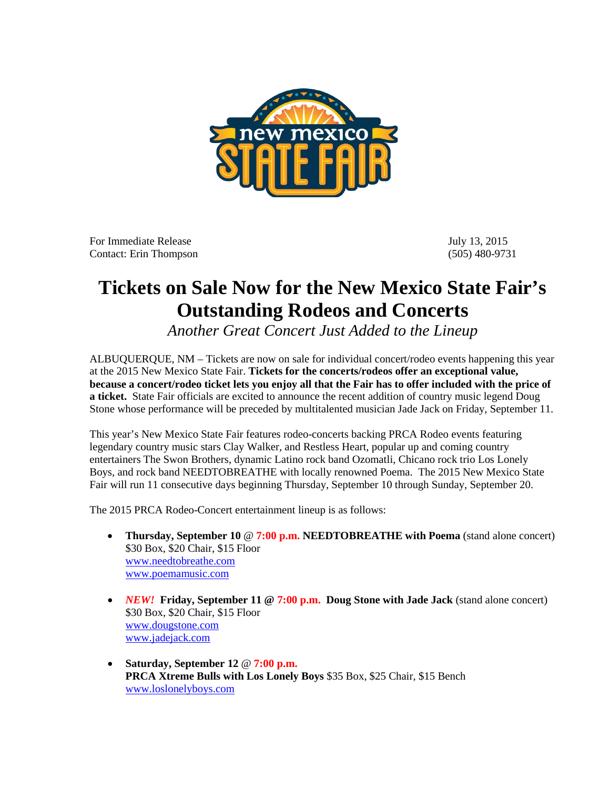

For Immediate Release July 13, 2015 Contact: Erin Thompson (505) 480-9731

## **Tickets on Sale Now for the New Mexico State Fair's Outstanding Rodeos and Concerts**

*Another Great Concert Just Added to the Lineup*

ALBUQUERQUE, NM – Tickets are now on sale for individual concert/rodeo events happening this year at the 2015 New Mexico State Fair. **Tickets for the concerts/rodeos offer an exceptional value, because a concert/rodeo ticket lets you enjoy all that the Fair has to offer included with the price of a ticket.** State Fair officials are excited to announce the recent addition of country music legend Doug Stone whose performance will be preceded by multitalented musician Jade Jack on Friday, September 11.

This year's New Mexico State Fair features rodeo-concerts backing PRCA Rodeo events featuring legendary country music stars Clay Walker, and Restless Heart, popular up and coming country entertainers The Swon Brothers, dynamic Latino rock band Ozomatli, Chicano rock trio Los Lonely Boys, and rock band NEEDTOBREATHE with locally renowned Poema. The 2015 New Mexico State Fair will run 11 consecutive days beginning Thursday, September 10 through Sunday, September 20.

The 2015 PRCA Rodeo-Concert entertainment lineup is as follows:

- **Thursday, September 10** @ **7:00 p.m. NEEDTOBREATHE with Poema** (stand alone concert) \$30 Box, \$20 Chair, \$15 Floor [www.needtobreathe.com](http://www.needtobreathe.com/) [www.poemamusic.com](http://www.poemamusic.com/)
- *NEW!* Friday, September 11 @ 7:00 p.m. Doug Stone with Jade Jack (stand alone concert) \$30 Box, \$20 Chair, \$15 Floor [www.dougstone.com](http://www.dougstone.com/) [www.jadejack.com](http://www.jadejack.com/)
- **Saturday, September 12** @ **7:00 p.m. PRCA Xtreme Bulls with Los Lonely Boys** \$35 Box, \$25 Chair, \$15 Bench [www.loslonelyboys.com](http://www.loslonelyboys.com/)